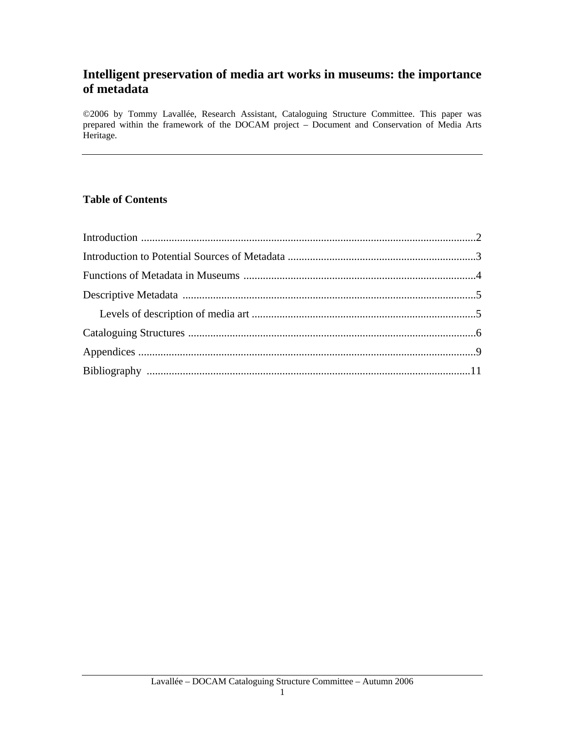# **Intelligent preservation of media art works in museums: the importance of metadata**

©2006 by Tommy Lavallée, Research Assistant, Cataloguing Structure Committee. This paper was prepared within the framework of the DOCAM project – Document and Conservation of Media Arts Heritage.

## **Table of Contents**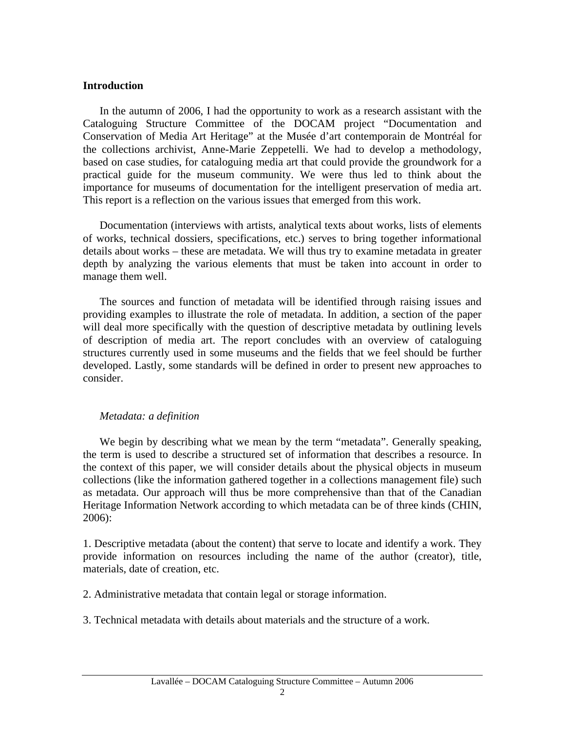### **Introduction**

In the autumn of 2006, I had the opportunity to work as a research assistant with the Cataloguing Structure Committee of the DOCAM project "Documentation and Conservation of Media Art Heritage" at the Musée d'art contemporain de Montréal for the collections archivist, Anne-Marie Zeppetelli. We had to develop a methodology, based on case studies, for cataloguing media art that could provide the groundwork for a practical guide for the museum community. We were thus led to think about the importance for museums of documentation for the intelligent preservation of media art. This report is a reflection on the various issues that emerged from this work.

Documentation (interviews with artists, analytical texts about works, lists of elements of works, technical dossiers, specifications, etc.) serves to bring together informational details about works – these are metadata. We will thus try to examine metadata in greater depth by analyzing the various elements that must be taken into account in order to manage them well.

The sources and function of metadata will be identified through raising issues and providing examples to illustrate the role of metadata. In addition, a section of the paper will deal more specifically with the question of descriptive metadata by outlining levels of description of media art. The report concludes with an overview of cataloguing structures currently used in some museums and the fields that we feel should be further developed. Lastly, some standards will be defined in order to present new approaches to consider.

#### *Metadata: a definition*

We begin by describing what we mean by the term "metadata". Generally speaking, the term is used to describe a structured set of information that describes a resource. In the context of this paper, we will consider details about the physical objects in museum collections (like the information gathered together in a collections management file) such as metadata. Our approach will thus be more comprehensive than that of the Canadian Heritage Information Network according to which metadata can be of three kinds (CHIN, 2006):

1. Descriptive metadata (about the content) that serve to locate and identify a work. They provide information on resources including the name of the author (creator), title, materials, date of creation, etc.

2. Administrative metadata that contain legal or storage information.

3. Technical metadata with details about materials and the structure of a work.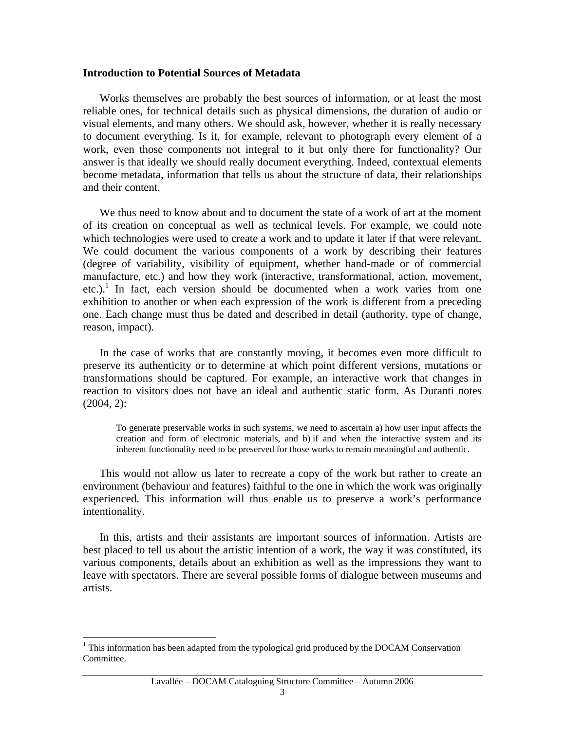#### **Introduction to Potential Sources of Metadata**

Works themselves are probably the best sources of information, or at least the most reliable ones, for technical details such as physical dimensions, the duration of audio or visual elements, and many others. We should ask, however, whether it is really necessary to document everything. Is it, for example, relevant to photograph every element of a work, even those components not integral to it but only there for functionality? Our answer is that ideally we should really document everything. Indeed, contextual elements become metadata, information that tells us about the structure of data, their relationships and their content.

We thus need to know about and to document the state of a work of art at the moment of its creation on conceptual as well as technical levels. For example, we could note which technologies were used to create a work and to update it later if that were relevant. We could document the various components of a work by describing their features (degree of variability, visibility of equipment, whether hand-made or of commercial manufacture, etc.) and how they work (interactive, transformational, action, movement, etc.).<sup>1</sup> In fact, each version should be documented when a work varies from one exhibition to another or when each expression of the work is different from a preceding one. Each change must thus be dated and described in detail (authority, type of change, reason, impact).

In the case of works that are constantly moving, it becomes even more difficult to preserve its authenticity or to determine at which point different versions, mutations or transformations should be captured. For example, an interactive work that changes in reaction to visitors does not have an ideal and authentic static form. As Duranti notes (2004, 2):

To generate preservable works in such systems, we need to ascertain a) how user input affects the creation and form of electronic materials, and b) if and when the interactive system and its inherent functionality need to be preserved for those works to remain meaningful and authentic.

This would not allow us later to recreate a copy of the work but rather to create an environment (behaviour and features) faithful to the one in which the work was originally experienced. This information will thus enable us to preserve a work's performance intentionality.

In this, artists and their assistants are important sources of information. Artists are best placed to tell us about the artistic intention of a work, the way it was constituted, its various components, details about an exhibition as well as the impressions they want to leave with spectators. There are several possible forms of dialogue between museums and artists.

 $\overline{a}$ 

<span id="page-2-0"></span><sup>&</sup>lt;sup>1</sup> This information has been adapted from the typological grid produced by the DOCAM Conservation Committee.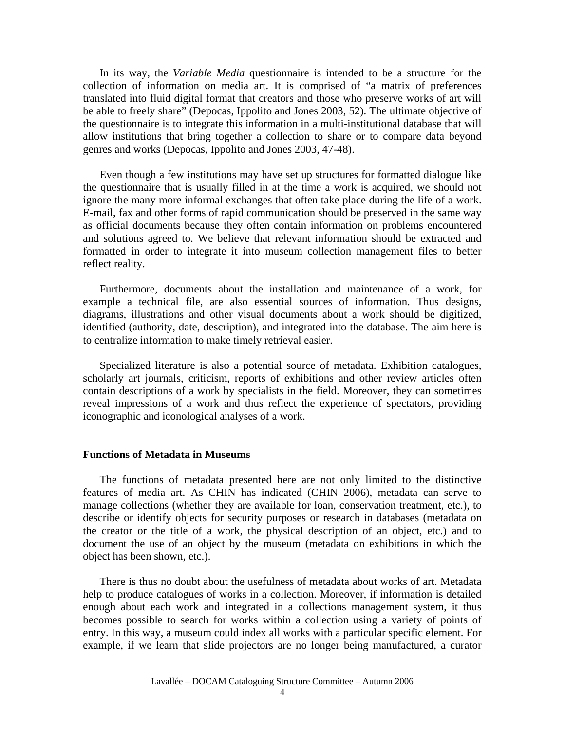In its way, the *Variable Media* questionnaire is intended to be a structure for the collection of information on media art. It is comprised of "a matrix of preferences translated into fluid digital format that creators and those who preserve works of art will be able to freely share" (Depocas, Ippolito and Jones 2003, 52). The ultimate objective of the questionnaire is to integrate this information in a multi-institutional database that will allow institutions that bring together a collection to share or to compare data beyond genres and works (Depocas, Ippolito and Jones 2003, 47-48).

Even though a few institutions may have set up structures for formatted dialogue like the questionnaire that is usually filled in at the time a work is acquired, we should not ignore the many more informal exchanges that often take place during the life of a work. E-mail, fax and other forms of rapid communication should be preserved in the same way as official documents because they often contain information on problems encountered and solutions agreed to. We believe that relevant information should be extracted and formatted in order to integrate it into museum collection management files to better reflect reality.

Furthermore, documents about the installation and maintenance of a work, for example a technical file, are also essential sources of information. Thus designs, diagrams, illustrations and other visual documents about a work should be digitized, identified (authority, date, description), and integrated into the database. The aim here is to centralize information to make timely retrieval easier.

Specialized literature is also a potential source of metadata. Exhibition catalogues, scholarly art journals, criticism, reports of exhibitions and other review articles often contain descriptions of a work by specialists in the field. Moreover, they can sometimes reveal impressions of a work and thus reflect the experience of spectators, providing iconographic and iconological analyses of a work.

#### **Functions of Metadata in Museums**

The functions of metadata presented here are not only limited to the distinctive features of media art. As CHIN has indicated (CHIN 2006), metadata can serve to manage collections (whether they are available for loan, conservation treatment, etc.), to describe or identify objects for security purposes or research in databases (metadata on the creator or the title of a work, the physical description of an object, etc.) and to document the use of an object by the museum (metadata on exhibitions in which the object has been shown, etc.).

There is thus no doubt about the usefulness of metadata about works of art. Metadata help to produce catalogues of works in a collection. Moreover, if information is detailed enough about each work and integrated in a collections management system, it thus becomes possible to search for works within a collection using a variety of points of entry. In this way, a museum could index all works with a particular specific element. For example, if we learn that slide projectors are no longer being manufactured, a curator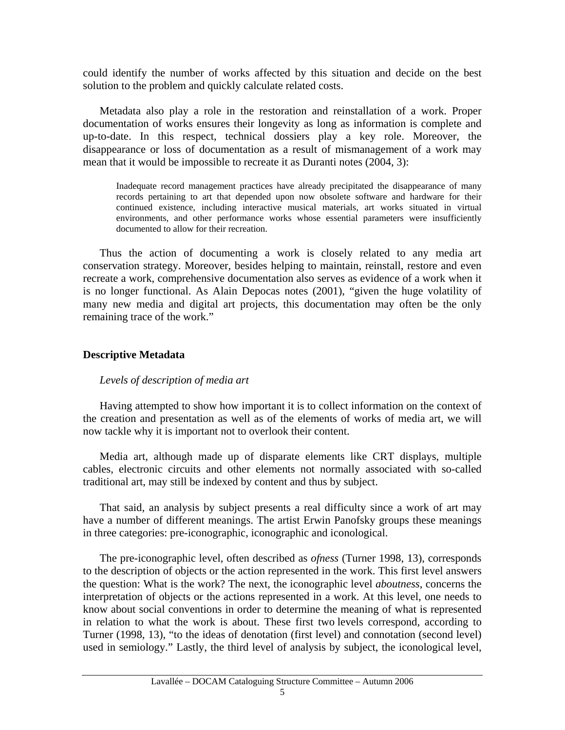could identify the number of works affected by this situation and decide on the best solution to the problem and quickly calculate related costs.

Metadata also play a role in the restoration and reinstallation of a work. Proper documentation of works ensures their longevity as long as information is complete and up-to-date. In this respect, technical dossiers play a key role. Moreover, the disappearance or loss of documentation as a result of mismanagement of a work may mean that it would be impossible to recreate it as Duranti notes (2004, 3):

Inadequate record management practices have already precipitated the disappearance of many records pertaining to art that depended upon now obsolete software and hardware for their continued existence, including interactive musical materials, art works situated in virtual environments, and other performance works whose essential parameters were insufficiently documented to allow for their recreation.

Thus the action of documenting a work is closely related to any media art conservation strategy. Moreover, besides helping to maintain, reinstall, restore and even recreate a work, comprehensive documentation also serves as evidence of a work when it is no longer functional. As Alain Depocas notes (2001), "given the huge volatility of many new media and digital art projects, this documentation may often be the only remaining trace of the work."

#### **Descriptive Metadata**

#### *Levels of description of media art*

Having attempted to show how important it is to collect information on the context of the creation and presentation as well as of the elements of works of media art, we will now tackle why it is important not to overlook their content.

Media art, although made up of disparate elements like CRT displays, multiple cables, electronic circuits and other elements not normally associated with so-called traditional art, may still be indexed by content and thus by subject.

That said, an analysis by subject presents a real difficulty since a work of art may have a number of different meanings. The artist Erwin Panofsky groups these meanings in three categories: pre-iconographic, iconographic and iconological.

The pre-iconographic level, often described as *ofness* (Turner 1998, 13), corresponds to the description of objects or the action represented in the work. This first level answers the question: What is the work? The next, the iconographic level *aboutness*, concerns the interpretation of objects or the actions represented in a work. At this level, one needs to know about social conventions in order to determine the meaning of what is represented in relation to what the work is about. These first two levels correspond, according to Turner (1998, 13), "to the ideas of denotation (first level) and connotation (second level) used in semiology." Lastly, the third level of analysis by subject, the iconological level,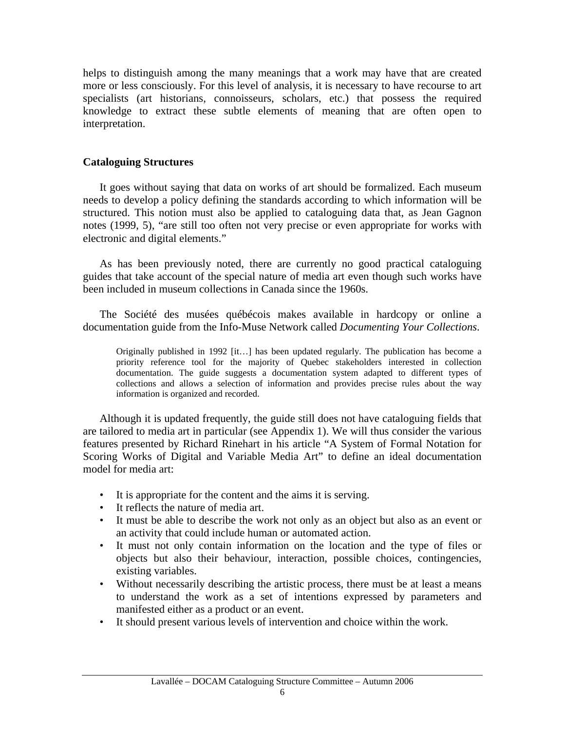helps to distinguish among the many meanings that a work may have that are created more or less consciously. For this level of analysis, it is necessary to have recourse to art specialists (art historians, connoisseurs, scholars, etc.) that possess the required knowledge to extract these subtle elements of meaning that are often open to interpretation.

## **Cataloguing Structures**

It goes without saying that data on works of art should be formalized. Each museum needs to develop a policy defining the standards according to which information will be structured. This notion must also be applied to cataloguing data that, as Jean Gagnon notes (1999, 5), "are still too often not very precise or even appropriate for works with electronic and digital elements."

As has been previously noted, there are currently no good practical cataloguing guides that take account of the special nature of media art even though such works have been included in museum collections in Canada since the 1960s.

The Société des musées québécois makes available in hardcopy or online a documentation guide from the Info-Muse Network called *Documenting Your Collections*.

Originally published in 1992 [it…] has been updated regularly. The publication has become a priority reference tool for the majority of Quebec stakeholders interested in collection documentation. The guide suggests a documentation system adapted to different types of collections and allows a selection of information and provides precise rules about the way information is organized and recorded.

Although it is updated frequently, the guide still does not have cataloguing fields that are tailored to media art in particular (see Appendix 1). We will thus consider the various features presented by Richard Rinehart in his article "A System of Formal Notation for Scoring Works of Digital and Variable Media Art" to define an ideal documentation model for media art:

- It is appropriate for the content and the aims it is serving.
- It reflects the nature of media art.
- It must be able to describe the work not only as an object but also as an event or an activity that could include human or automated action.
- It must not only contain information on the location and the type of files or objects but also their behaviour, interaction, possible choices, contingencies, existing variables.
- Without necessarily describing the artistic process, there must be at least a means to understand the work as a set of intentions expressed by parameters and manifested either as a product or an event.
- It should present various levels of intervention and choice within the work.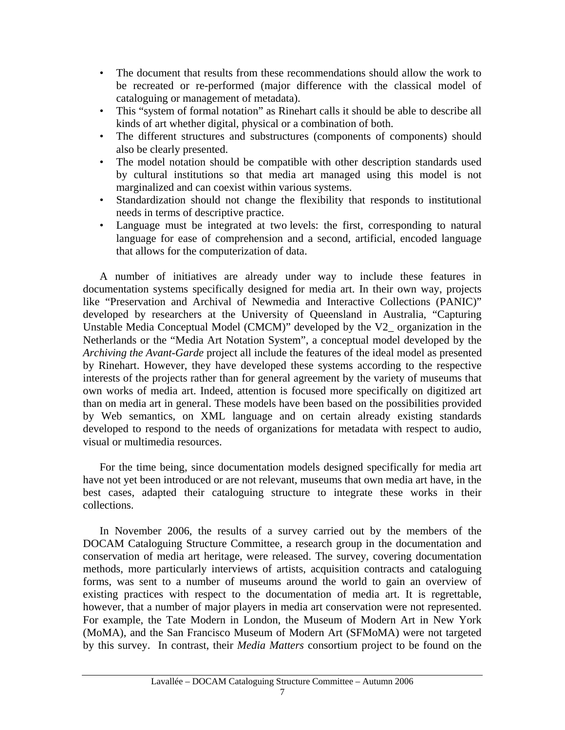- The document that results from these recommendations should allow the work to be recreated or re-performed (major difference with the classical model of cataloguing or management of metadata).
- This "system of formal notation" as Rinehart calls it should be able to describe all kinds of art whether digital, physical or a combination of both.
- The different structures and substructures (components of components) should also be clearly presented.
- The model notation should be compatible with other description standards used by cultural institutions so that media art managed using this model is not marginalized and can coexist within various systems.
- Standardization should not change the flexibility that responds to institutional needs in terms of descriptive practice.
- Language must be integrated at two levels: the first, corresponding to natural language for ease of comprehension and a second, artificial, encoded language that allows for the computerization of data.

A number of initiatives are already under way to include these features in documentation systems specifically designed for media art. In their own way, projects like "Preservation and Archival of Newmedia and Interactive Collections (PANIC)" developed by researchers at the University of Queensland in Australia, "Capturing Unstable Media Conceptual Model (CMCM)" developed by the V2\_ organization in the Netherlands or the "Media Art Notation System", a conceptual model developed by the *Archiving the Avant-Garde* project all include the features of the ideal model as presented by Rinehart. However, they have developed these systems according to the respective interests of the projects rather than for general agreement by the variety of museums that own works of media art. Indeed, attention is focused more specifically on digitized art than on media art in general. These models have been based on the possibilities provided by Web semantics, on XML language and on certain already existing standards developed to respond to the needs of organizations for metadata with respect to audio, visual or multimedia resources.

For the time being, since documentation models designed specifically for media art have not yet been introduced or are not relevant, museums that own media art have, in the best cases, adapted their cataloguing structure to integrate these works in their collections.

In November 2006, the results of a survey carried out by the members of the DOCAM Cataloguing Structure Committee, a research group in the documentation and conservation of media art heritage, were released. The survey, covering documentation methods, more particularly interviews of artists, acquisition contracts and cataloguing forms, was sent to a number of museums around the world to gain an overview of existing practices with respect to the documentation of media art. It is regrettable, however, that a number of major players in media art conservation were not represented. For example, the Tate Modern in London, the Museum of Modern Art in New York (MoMA), and the San Francisco Museum of Modern Art (SFMoMA) were not targeted by this survey. In contrast, their *Media Matters* consortium project to be found on the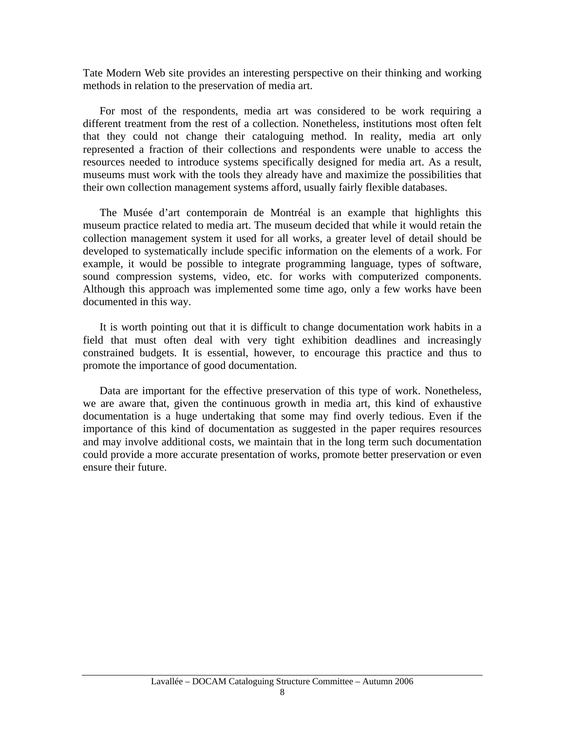Tate Modern Web site provides an interesting perspective on their thinking and working methods in relation to the preservation of media art.

For most of the respondents, media art was considered to be work requiring a different treatment from the rest of a collection. Nonetheless, institutions most often felt that they could not change their cataloguing method. In reality, media art only represented a fraction of their collections and respondents were unable to access the resources needed to introduce systems specifically designed for media art. As a result, museums must work with the tools they already have and maximize the possibilities that their own collection management systems afford, usually fairly flexible databases.

The Musée d'art contemporain de Montréal is an example that highlights this museum practice related to media art. The museum decided that while it would retain the collection management system it used for all works, a greater level of detail should be developed to systematically include specific information on the elements of a work. For example, it would be possible to integrate programming language, types of software, sound compression systems, video, etc. for works with computerized components. Although this approach was implemented some time ago, only a few works have been documented in this way.

It is worth pointing out that it is difficult to change documentation work habits in a field that must often deal with very tight exhibition deadlines and increasingly constrained budgets. It is essential, however, to encourage this practice and thus to promote the importance of good documentation.

Data are important for the effective preservation of this type of work. Nonetheless, we are aware that, given the continuous growth in media art, this kind of exhaustive documentation is a huge undertaking that some may find overly tedious. Even if the importance of this kind of documentation as suggested in the paper requires resources and may involve additional costs, we maintain that in the long term such documentation could provide a more accurate presentation of works, promote better preservation or even ensure their future.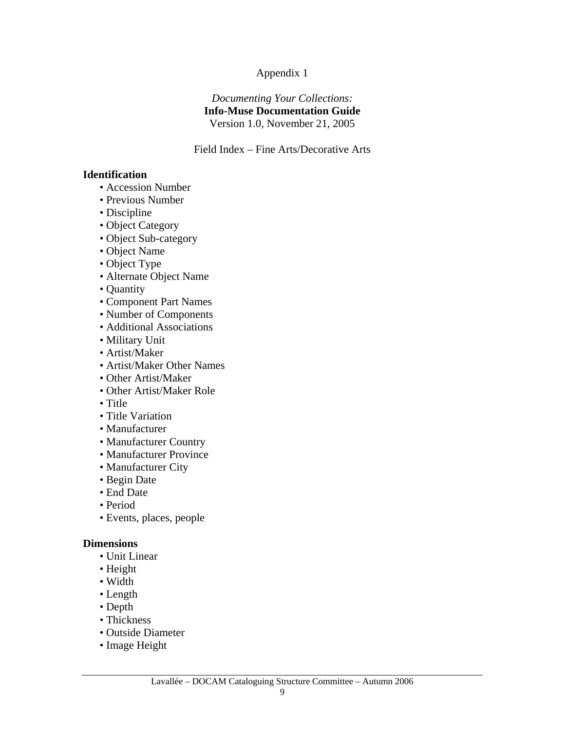## Appendix 1

### *Documenting Your Collections:*  **Info-Muse Documentation Guide**  Version 1.0, November 21, 2005

Field Index – Fine Arts/Decorative Arts

### **Identification**

- Accession Number
- Previous Number
- Discipline
- Object Category
- Object Sub-category
- Object Name
- Object Type
- Alternate Object Name
- Quantity
- Component Part Names
- Number of Components
- Additional Associations
- Military Unit
- Artist/Maker
- Artist/Maker Other Names
- Other Artist/Maker
- Other Artist/Maker Role
- Title
- Title Variation
- Manufacturer
- Manufacturer Country
- Manufacturer Province
- Manufacturer City
- Begin Date
- End Date
- Period
- Events, places, people

## **Dimensions**

- Unit Linear
- Height
- Width
- Length
- Depth
- Thickness
- Outside Diameter
- Image Height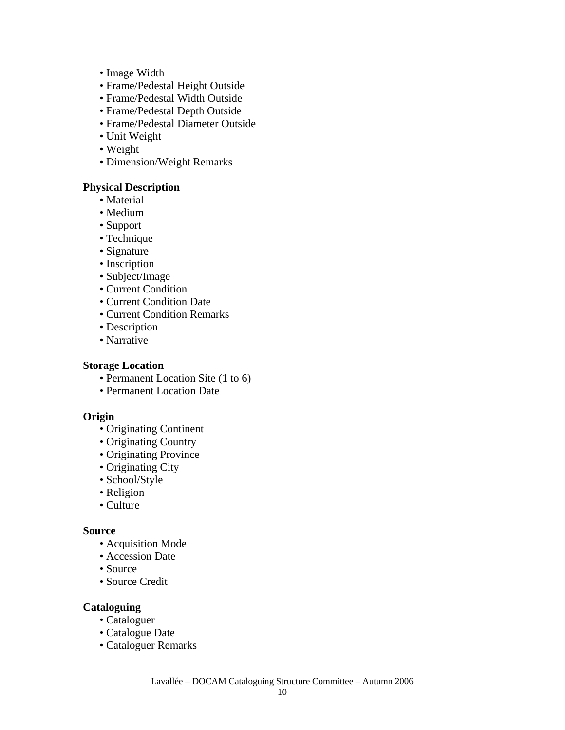- Image Width
- Frame/Pedestal Height Outside
- Frame/Pedestal Width Outside
- Frame/Pedestal Depth Outside
- Frame/Pedestal Diameter Outside
- Unit Weight
- Weight
- Dimension/Weight Remarks

## **Physical Description**

- Material
- Medium
- Support
- Technique
- Signature
- Inscription
- Subject/Image
- Current Condition
- Current Condition Date
- Current Condition Remarks
- Description
- Narrative

## **Storage Location**

- Permanent Location Site (1 to 6)
- Permanent Location Date

## **Origin**

- Originating Continent
- Originating Country
- Originating Province
- Originating City
- School/Style
- Religion
- Culture

## **Source**

- Acquisition Mode
- Accession Date
- Source
- Source Credit

## **Cataloguing**

- Cataloguer
- Catalogue Date
- Cataloguer Remarks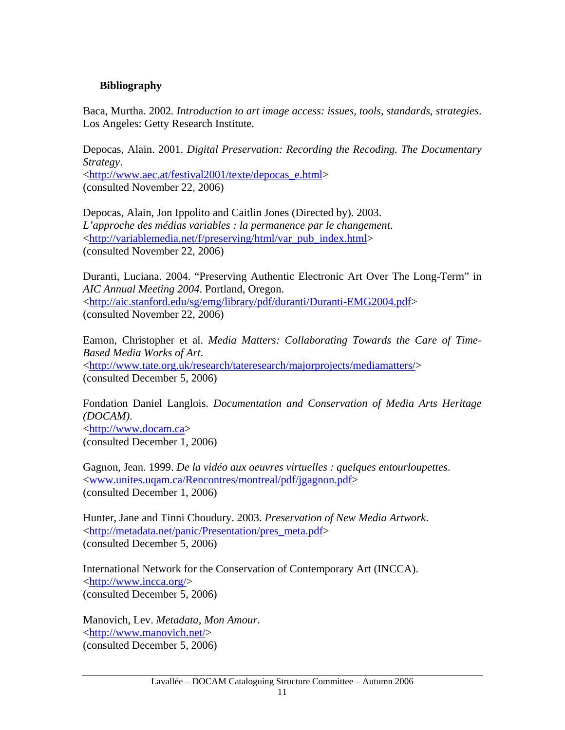## **Bibliography**

Baca, Murtha. 2002*. Introduction to art image access: issues, tools, standards, strategies*. Los Angeles: Getty Research Institute.

Depocas, Alain. 2001. *Digital Preservation: Recording the Recoding. The Documentary Strategy*. <[http://www.aec.at/festival2001/texte/depocas\\_e.html>](http://www.aec.at/festival2001/texte/depocas_e.html) (consulted November 22, 2006)

Depocas, Alain, Jon Ippolito and Caitlin Jones (Directed by). 2003. *L'approche des médias variables : la permanence par le changement*. <[http://variablemedia.net/f/preserving/html/var\\_pub\\_index.html>](http://variablemedia.net/f/preserving/html/var_pub_index.html) (consulted November 22, 2006)

Duranti, Luciana. 2004. "Preserving Authentic Electronic Art Over The Long-Term" in *AIC Annual Meeting 2004*. Portland, Oregon. <[http://aic.stanford.edu/sg/emg/library/pdf/duranti/Duranti-EMG2004.pdf>](http://aic.stanford.edu/sg/emg/library/pdf/duranti/Duranti-EMG2004.pdf) (consulted November 22, 2006)

Eamon, Christopher et al. *Media Matters: Collaborating Towards the Care of Time-Based Media Works of Art*. <<http://www.tate.org.uk/research/tateresearch/majorprojects/mediamatters/>> (consulted December 5, 2006)

Fondation Daniel Langlois. *Documentation and Conservation of Media Arts Heritage (DOCAM)*. <[http://www.docam.ca](http://www.docam.ca/)> (consulted December 1, 2006)

Gagnon, Jean. 1999. *De la vidéo aux oeuvres virtuelles : quelques entourloupettes*. <[www.unites.uqam.ca/Rencontres/montreal/pdf/jgagnon.pdf](http://www.unites.uqam.ca/Rencontres/montreal/pdf/jgagnon.pdf)> (consulted December 1, 2006)

Hunter, Jane and Tinni Choudury. 2003. *Preservation of New Media Artwork*. <http://metadata.net/panic/Presentation/pres\_meta.pdf> (consulted December 5, 2006)

International Network for the Conservation of Contemporary Art (INCCA). <<http://www.incca.org/>> (consulted December 5, 2006)

Manovich, Lev. *Metadata, Mon Amour*. <[http://www.manovich.net/>](http://www.manovich.net/) (consulted December 5, 2006)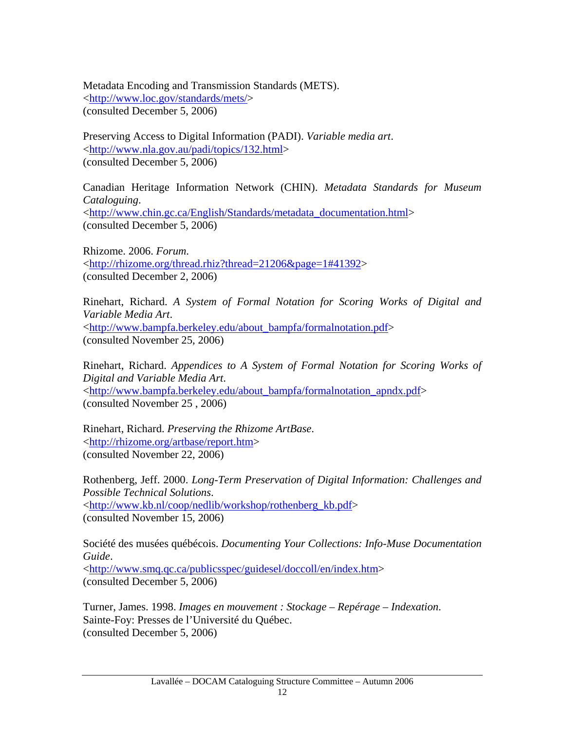Metadata Encoding and Transmission Standards (METS). <<http://www.loc.gov/standards/mets/>> (consulted December 5, 2006)

Preserving Access to Digital Information (PADI). *Variable media art*. <[http://www.nla.gov.au/padi/topics/132.html>](http://www.nla.gov.au/padi/topics/132.html) (consulted December 5, 2006)

Canadian Heritage Information Network (CHIN). *Metadata Standards for Museum Cataloguing*. <[http://www.chin.gc.ca/English/Standards/metadata\\_documentation.html>](http://www.chin.gc.ca/English/Standards/metadata_documentation.html) (consulted December 5, 2006)

Rhizome. 2006. *Forum*. <http://rhizome.org/thread.rhiz?thread=21206&page=1#41392> (consulted December 2, 2006)

Rinehart, Richard. *A System of Formal Notation for Scoring Works of Digital and Variable Media Art*. <[http://www.bampfa.berkeley.edu/about\\_bampfa/formalnotation.pdf>](http://www.bampfa.berkeley.edu/about_bampfa/formalnotation.pdf) (consulted November 25, 2006)

Rinehart, Richard. *Appendices to A System of Formal Notation for Scoring Works of Digital and Variable Media Art*. <[http://www.bampfa.berkeley.edu/about\\_bampfa/formalnotation\\_apndx.pdf](http://www.bampfa.berkeley.edu/about_bampfa/formalnotation_apndx.pdf)> (consulted November 25 , 2006)

Rinehart, Richard. *Preserving the Rhizome ArtBase*. <[http://rhizome.org/artbase/report.htm>](http://rhizome.org/artbase/report.htm) (consulted November 22, 2006)

Rothenberg, Jeff. 2000. *Long-Term Preservation of Digital Information: Challenges and Possible Technical Solutions*. <[http://www.kb.nl/coop/nedlib/workshop/rothenberg\\_kb.pdf>](http://www.kb.nl/coop/nedlib/workshop/rothenberg_kb.pdf) (consulted November 15, 2006)

Société des musées québécois. *Documenting Your Collections: Info-Muse Documentation Guide*. <[http://www.smq.qc.ca/publicsspec/guidesel/doccoll/en/index.htm>](http://www.smq.qc.ca/publicsspec/guidesel/doccoll/en/index.htm) (consulted December 5, 2006)

Turner, James. 1998. *Images en mouvement : Stockage – Repérage – Indexation*. Sainte-Foy: Presses de l'Université du Québec. (consulted December 5, 2006)